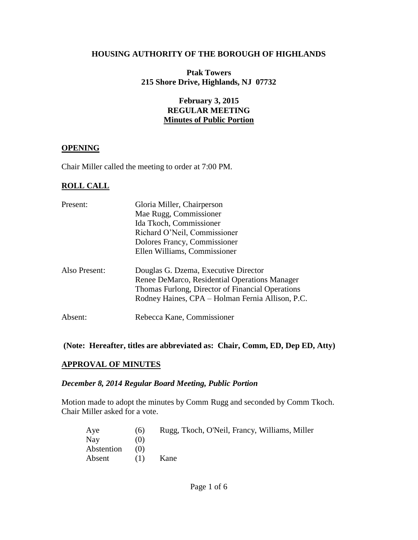#### **HOUSING AUTHORITY OF THE BOROUGH OF HIGHLANDS**

#### **Ptak Towers 215 Shore Drive, Highlands, NJ 07732**

### **February 3, 2015 REGULAR MEETING Minutes of Public Portion**

#### **OPENING**

Chair Miller called the meeting to order at 7:00 PM.

#### **ROLL CALL**

| Present:      | Gloria Miller, Chairperson                       |  |  |  |
|---------------|--------------------------------------------------|--|--|--|
|               | Mae Rugg, Commissioner                           |  |  |  |
|               | Ida Tkoch, Commissioner                          |  |  |  |
|               | Richard O'Neil, Commissioner                     |  |  |  |
|               | Dolores Francy, Commissioner                     |  |  |  |
|               | Ellen Williams, Commissioner                     |  |  |  |
| Also Present: | Douglas G. Dzema, Executive Director             |  |  |  |
|               | Renee DeMarco, Residential Operations Manager    |  |  |  |
|               | Thomas Furlong, Director of Financial Operations |  |  |  |
|               | Rodney Haines, CPA – Holman Fernia Allison, P.C. |  |  |  |
| Absent:       | Rebecca Kane, Commissioner                       |  |  |  |
|               |                                                  |  |  |  |

#### **(Note: Hereafter, titles are abbreviated as: Chair, Comm, ED, Dep ED, Atty)**

#### **APPROVAL OF MINUTES**

#### *December 8, 2014 Regular Board Meeting, Public Portion*

Motion made to adopt the minutes by Comm Rugg and seconded by Comm Tkoch. Chair Miller asked for a vote.

| Aye        | (6) | Rugg, Tkoch, O'Neil, Francy, Williams, Miller |
|------------|-----|-----------------------------------------------|
| Nav        | (0) |                                               |
| Abstention | (1) |                                               |
| Absent     | (1) | Kane                                          |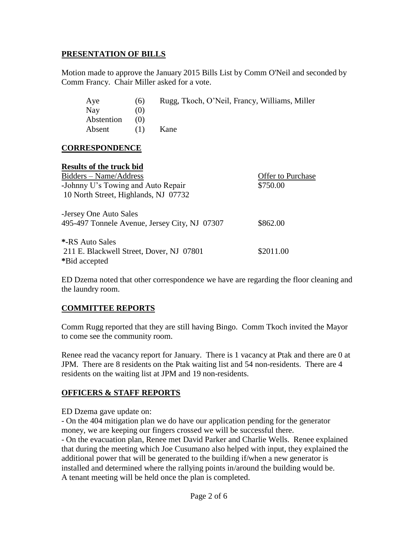#### **PRESENTATION OF BILLS**

Motion made to approve the January 2015 Bills List by Comm O'Neil and seconded by Comm Francy. Chair Miller asked for a vote.

| Aye                                      | (6) | Rugg, Tkoch, O'Neil, Francy, Williams, Miller |                          |
|------------------------------------------|-----|-----------------------------------------------|--------------------------|
| <b>Nay</b>                               | (0) |                                               |                          |
| Abstention                               | (0) |                                               |                          |
| Absent                                   | (1) | Kane                                          |                          |
| <b>CORRESPONDENCE</b>                    |     |                                               |                          |
| <b>Results of the truck bid</b>          |     |                                               |                          |
| Bidders – Name/Address                   |     |                                               | <b>Offer to Purchase</b> |
| -Johnny U's Towing and Auto Repair       |     |                                               | \$750.00                 |
| 10 North Street, Highlands, NJ 07732     |     |                                               |                          |
| -Jersey One Auto Sales                   |     |                                               |                          |
|                                          |     | 495-497 Tonnele Avenue, Jersey City, NJ 07307 | \$862.00                 |
| *-RS Auto Sales                          |     |                                               |                          |
| 211 E. Blackwell Street, Dover, NJ 07801 |     |                                               | \$2011.00                |
| *Bid accepted                            |     |                                               |                          |

ED Dzema noted that other correspondence we have are regarding the floor cleaning and the laundry room.

## **COMMITTEE REPORTS**

Comm Rugg reported that they are still having Bingo. Comm Tkoch invited the Mayor to come see the community room.

Renee read the vacancy report for January. There is 1 vacancy at Ptak and there are 0 at JPM. There are 8 residents on the Ptak waiting list and 54 non-residents. There are 4 residents on the waiting list at JPM and 19 non-residents.

## **OFFICERS & STAFF REPORTS**

ED Dzema gave update on:

- On the 404 mitigation plan we do have our application pending for the generator money, we are keeping our fingers crossed we will be successful there.

- On the evacuation plan, Renee met David Parker and Charlie Wells. Renee explained that during the meeting which Joe Cusumano also helped with input, they explained the additional power that will be generated to the building if/when a new generator is installed and determined where the rallying points in/around the building would be. A tenant meeting will be held once the plan is completed.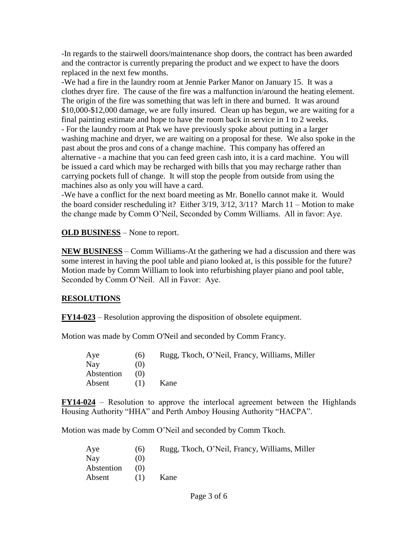-In regards to the stairwell doors/maintenance shop doors, the contract has been awarded and the contractor is currently preparing the product and we expect to have the doors replaced in the next few months.

-We had a fire in the laundry room at Jennie Parker Manor on January 15. It was a clothes dryer fire. The cause of the fire was a malfunction in/around the heating element. The origin of the fire was something that was left in there and burned. It was around \$10,000-\$12,000 damage, we are fully insured. Clean up has begun, we are waiting for a final painting estimate and hope to have the room back in service in 1 to 2 weeks. - For the laundry room at Ptak we have previously spoke about putting in a larger washing machine and dryer, we are waiting on a proposal for these. We also spoke in the past about the pros and cons of a change machine. This company has offered an alternative - a machine that you can feed green cash into, it is a card machine. You will be issued a card which may be recharged with bills that you may recharge rather than carrying pockets full of change. It will stop the people from outside from using the machines also as only you will have a card.

-We have a conflict for the next board meeting as Mr. Bonello cannot make it. Would the board consider rescheduling it? Either 3/19, 3/12, 3/11? March 11 – Motion to make the change made by Comm O'Neil, Seconded by Comm Williams. All in favor: Aye.

**OLD BUSINESS** – None to report.

**NEW BUSINESS** – Comm Williams-At the gathering we had a discussion and there was some interest in having the pool table and piano looked at, is this possible for the future? Motion made by Comm William to look into refurbishing player piano and pool table, Seconded by Comm O'Neil. All in Favor: Aye.

## **RESOLUTIONS**

**FY14-023** – Resolution approving the disposition of obsolete equipment.

Motion was made by Comm O'Neil and seconded by Comm Francy.

| Rugg, Tkoch, O'Neil, Francy, Williams, Miller |
|-----------------------------------------------|
|                                               |
|                                               |
|                                               |
|                                               |

**FY14-024** – Resolution to approve the interlocal agreement between the Highlands Housing Authority "HHA" and Perth Amboy Housing Authority "HACPA".

Motion was made by Comm O'Neil and seconded by Comm Tkoch.

| Rugg, Tkoch, O'Neil, Francy, Williams, Miller |
|-----------------------------------------------|
|                                               |
|                                               |
|                                               |
|                                               |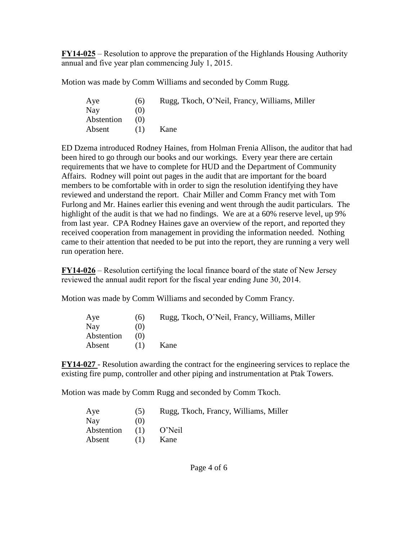**FY14-025** – Resolution to approve the preparation of the Highlands Housing Authority annual and five year plan commencing July 1, 2015.

Motion was made by Comm Williams and seconded by Comm Rugg.

| Aye        | (6)               | Rugg, Tkoch, O'Neil, Francy, Williams, Miller |
|------------|-------------------|-----------------------------------------------|
| <b>Nay</b> | $\left( 0\right)$ |                                               |
| Abstention | (0)               |                                               |
| Absent     | (1)               | Kane                                          |

ED Dzema introduced Rodney Haines, from Holman Frenia Allison, the auditor that had been hired to go through our books and our workings. Every year there are certain requirements that we have to complete for HUD and the Department of Community Affairs. Rodney will point out pages in the audit that are important for the board members to be comfortable with in order to sign the resolution identifying they have reviewed and understand the report. Chair Miller and Comm Francy met with Tom Furlong and Mr. Haines earlier this evening and went through the audit particulars. The highlight of the audit is that we had no findings. We are at a 60% reserve level, up 9% from last year. CPA Rodney Haines gave an overview of the report, and reported they received cooperation from management in providing the information needed. Nothing came to their attention that needed to be put into the report, they are running a very well run operation here.

**FY14-026** – Resolution certifying the local finance board of the state of New Jersey reviewed the annual audit report for the fiscal year ending June 30, 2014.

Motion was made by Comm Williams and seconded by Comm Francy.

| Aye        | (6) | Rugg, Tkoch, O'Neil, Francy, Williams, Miller |
|------------|-----|-----------------------------------------------|
| Nay        | (0) |                                               |
| Abstention | (0) |                                               |
| Absent     | (1) | Kane                                          |

**FY14-027** - Resolution awarding the contract for the engineering services to replace the existing fire pump, controller and other piping and instrumentation at Ptak Towers.

Motion was made by Comm Rugg and seconded by Comm Tkoch.

| Aye        | (5) | Rugg, Tkoch, Francy, Williams, Miller |
|------------|-----|---------------------------------------|
| <b>Nav</b> | (0) |                                       |
| Abstention | (1) | O'Neil                                |
| Absent     | (1) | Kane                                  |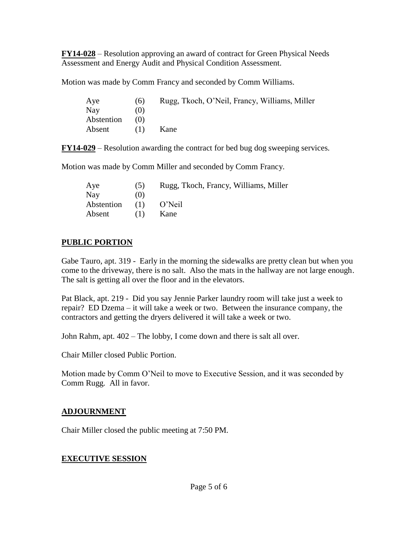**FY14-028** – Resolution approving an award of contract for Green Physical Needs Assessment and Energy Audit and Physical Condition Assessment.

Motion was made by Comm Francy and seconded by Comm Williams.

| Aye        | (6) | Rugg, Tkoch, O'Neil, Francy, Williams, Miller |
|------------|-----|-----------------------------------------------|
| Nay        | (0) |                                               |
| Abstention | (1) |                                               |
| Absent     | (1) | Kane                                          |

**FY14-029** – Resolution awarding the contract for bed bug dog sweeping services.

Motion was made by Comm Miller and seconded by Comm Francy.

| Aye        | (5) | Rugg, Tkoch, Francy, Williams, Miller |
|------------|-----|---------------------------------------|
| Nay        | (0) |                                       |
| Abstention | (1) | O'Neil                                |
| Absent     | (1) | Kane                                  |

## **PUBLIC PORTION**

Gabe Tauro, apt. 319 - Early in the morning the sidewalks are pretty clean but when you come to the driveway, there is no salt. Also the mats in the hallway are not large enough. The salt is getting all over the floor and in the elevators.

Pat Black, apt. 219 - Did you say Jennie Parker laundry room will take just a week to repair? ED Dzema – it will take a week or two. Between the insurance company, the contractors and getting the dryers delivered it will take a week or two.

John Rahm, apt. 402 – The lobby, I come down and there is salt all over.

Chair Miller closed Public Portion.

Motion made by Comm O'Neil to move to Executive Session, and it was seconded by Comm Rugg. All in favor.

# **ADJOURNMENT**

Chair Miller closed the public meeting at 7:50 PM.

# **EXECUTIVE SESSION**